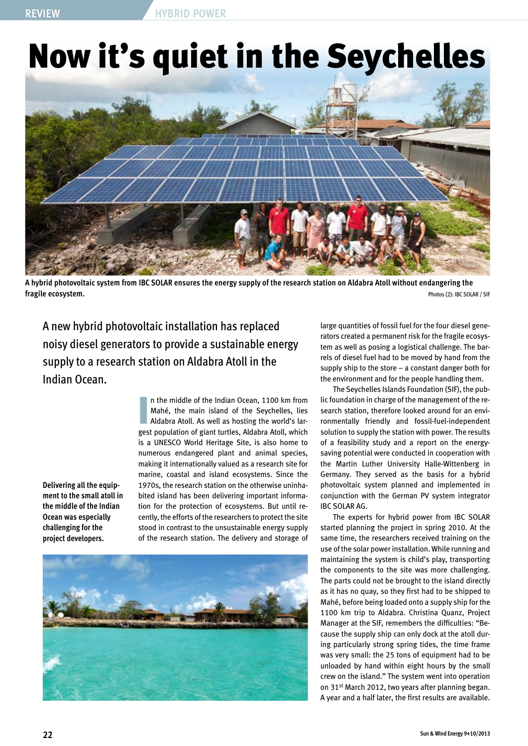## Now it's quiet in the Seychelles



**A hybrid photovoltaic system from IBC SOLAR ensures the energy supply of the research station on Aldabra Atoll without endangering the fragile ecosystem.** Photos (2): IBC SOLAR / SIF

A new hybrid photovoltaic installation has replaced noisy diesel generators to provide a sustainable energy supply to a research station on Aldabra Atoll in the Indian Ocean.

**Delivering all the equipment to the small atoll in the middle of the Indian Ocean was especially challenging for the project developers.**

In the middle of the Indian Ocean, 1100 km from<br>Mahé, the main island of the Seychelles, lies<br>Aldabra Atoll. As well as hosting the world's lar-<br>gest population of giant turtles, Aldabra Atoll, which n the middle of the Indian Ocean, 1100 km from Mahé, the main island of the Seychelles, lies Aldabra Atoll. As well as hosting the world's laris a UNESCO World Heritage Site, is also home to numerous endangered plant and animal species, making it internationally valued as a research site for marine, coastal and island ecosystems. Since the 1970s, the research station on the otherwise uninhabited island has been delivering important information for the protection of ecosystems. But until recently, the efforts of the researchers to protect the site stood in contrast to the unsustainable energy supply of the research station. The delivery and storage of



large quantities of fossil fuel for the four diesel generators created a permanent risk for the fragile ecosystem as well as posing a logistical challenge. The barrels of diesel fuel had to be moved by hand from the supply ship to the store – a constant danger both for the environment and for the people handling them.

The Seychelles Islands Foundation (SIF), the public foundation in charge of the management of the research station, therefore looked around for an environmentally friendly and fossil-fuel-independent solution to supply the station with power. The results of a feasibility study and a report on the energysaving potential were conducted in cooperation with the Martin Luther University Halle-Wittenberg in Germany. They served as the basis for a hybrid photovoltaic system planned and implemented in conjunction with the German PV system integrator IBC SOLAR AG.

The experts for hybrid power from IBC SOLAR started planning the project in spring 2010. At the same time, the researchers received training on the use of the solar power installation. While running and maintaining the system is child's play, transporting the components to the site was more challenging. The parts could not be brought to the island directly as it has no quay, so they first had to be shipped to Mahé, before being loaded onto a supply ship for the 1100 km trip to Aldabra. Christina Quanz, Project Manager at the SIF, remembers the difficulties: "Because the supply ship can only dock at the atoll during particularly strong spring tides, the time frame was very small: the 25 tons of equipment had to be unloaded by hand within eight hours by the small crew on the island." The system went into operation on 31<sup>st</sup> March 2012, two years after planning began. A year and a half later, the first results are available.